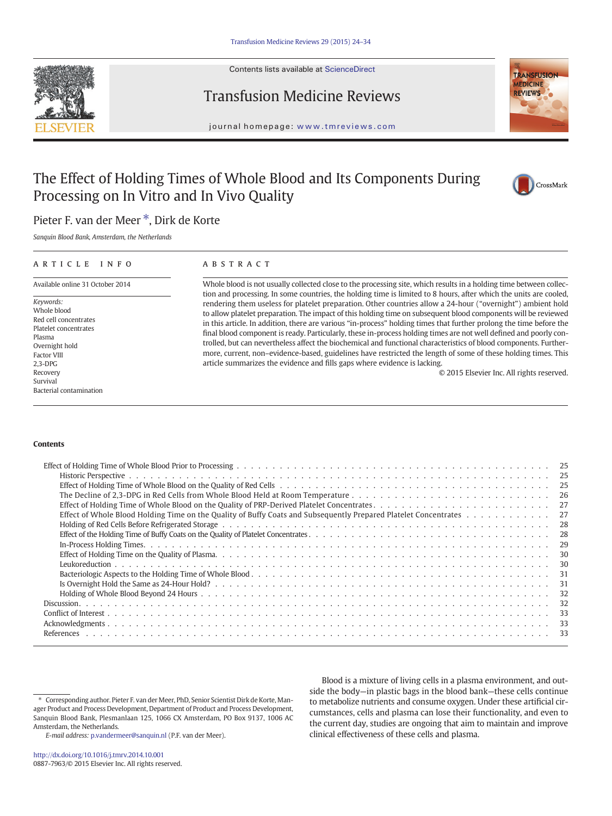

Contents lists available at ScienceDirect

# Transfusion Medicine Reviews



journal homepage: www.tmreviews.com

# The Effect of Holding Times of Whole Blood and Its Components During Processing on In Vitro and In Vivo Quality



# Pieter F. van der Meer \*, Dirk de Korte

Sanquin Blood Bank, Amsterdam, the Netherlands

# article info abstract

Available online 31 October 2014

Keywords: Whole blood Red cell concentrates Platelet concentrates Plasma Overnight hold Factor VIII 2,3-DPG Recovery Survival Bacterial contamination

Whole blood is not usually collected close to the processing site, which results in a holding time between collection and processing. In some countries, the holding time is limited to 8 hours, after which the units are cooled, rendering them useless for platelet preparation. Other countries allow a 24-hour ("overnight") ambient hold to allow platelet preparation. The impact of this holding time on subsequent blood components will be reviewed in this article. In addition, there are various "in-process" holding times that further prolong the time before the final blood component is ready. Particularly, these in-process holding times are not well defined and poorly controlled, but can nevertheless affect the biochemical and functional characteristics of blood components. Furthermore, current, non–evidence-based, guidelines have restricted the length of some of these holding times. This article summarizes the evidence and fills gaps where evidence is lacking.

© 2015 Elsevier Inc. All rights reserved.

### **Contents**

|             | 25  |
|-------------|-----|
|             | 25  |
|             | 26  |
|             | -27 |
|             | -27 |
|             | 28  |
|             | 28  |
|             | 29  |
|             | 30  |
|             | 30  |
|             | -31 |
|             | 31  |
|             | 32  |
| Discussion. | 32  |
|             | 33  |
|             | 33  |
| References  |     |
|             |     |

Blood is a mixture of living cells in a plasma environment, and outside the body—in plastic bags in the blood bank—these cells continue to metabolize nutrients and consume oxygen. Under these artificial circumstances, cells and plasma can lose their functionality, and even to the current day, studies are ongoing that aim to maintain and improve clinical effectiveness of these cells and plasma.

<sup>⁎</sup> Corresponding author. Pieter F. van der Meer, PhD, Senior Scientist Dirk de Korte, Manager Product and Process Development, Department of Product and Process Development, Sanquin Blood Bank, Plesmanlaan 125, 1066 CX Amsterdam, PO Box 9137, 1006 AC Amsterdam, the Netherlands.

E-mail address: [p.vandermeer@sanquin.nl](mailto:p.vandermeer@sanquin.nl) (P.F. van der Meer).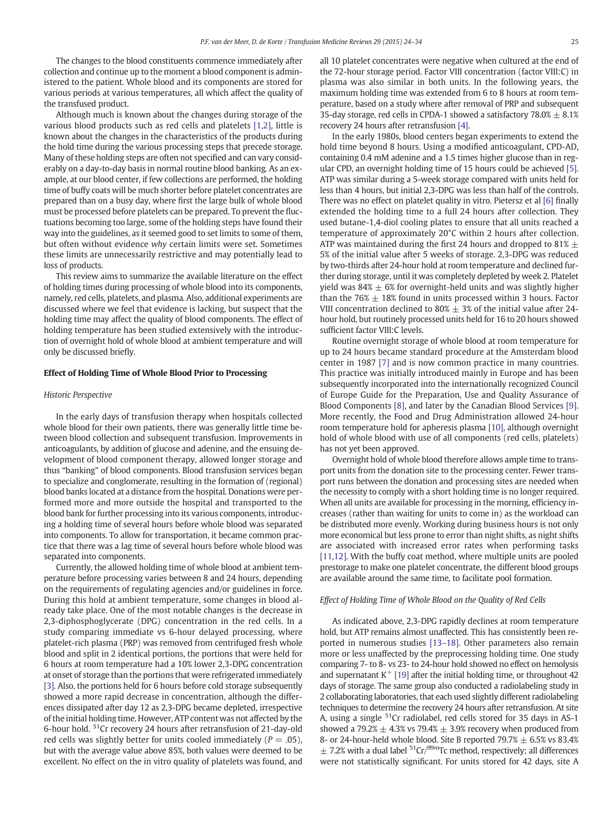The changes to the blood constituents commence immediately after collection and continue up to the moment a blood component is administered to the patient. Whole blood and its components are stored for various periods at various temperatures, all which affect the quality of the transfused product.

Although much is known about the changes during storage of the various blood products such as red cells and platelets [\[1,2\],](#page-9-0) little is known about the changes in the characteristics of the products during the hold time during the various processing steps that precede storage. Many of these holding steps are often not specified and can vary considerably on a day-to-day basis in normal routine blood banking. As an example, at our blood center, if few collections are performed, the holding time of buffy coats will be much shorter before platelet concentrates are prepared than on a busy day, where first the large bulk of whole blood must be processed before platelets can be prepared. To prevent the fluctuations becoming too large, some of the holding steps have found their way into the guidelines, as it seemed good to set limits to some of them, but often without evidence why certain limits were set. Sometimes these limits are unnecessarily restrictive and may potentially lead to loss of products.

This review aims to summarize the available literature on the effect of holding times during processing of whole blood into its components, namely, red cells, platelets, and plasma. Also, additional experiments are discussed where we feel that evidence is lacking, but suspect that the holding time may affect the quality of blood components. The effect of holding temperature has been studied extensively with the introduction of overnight hold of whole blood at ambient temperature and will only be discussed briefly.

# Effect of Holding Time of Whole Blood Prior to Processing

### Historic Perspective

In the early days of transfusion therapy when hospitals collected whole blood for their own patients, there was generally little time between blood collection and subsequent transfusion. Improvements in anticoagulants, by addition of glucose and adenine, and the ensuing development of blood component therapy, allowed longer storage and thus "banking" of blood components. Blood transfusion services began to specialize and conglomerate, resulting in the formation of (regional) blood banks located at a distance from the hospital. Donations were performed more and more outside the hospital and transported to the blood bank for further processing into its various components, introducing a holding time of several hours before whole blood was separated into components. To allow for transportation, it became common practice that there was a lag time of several hours before whole blood was separated into components.

Currently, the allowed holding time of whole blood at ambient temperature before processing varies between 8 and 24 hours, depending on the requirements of regulating agencies and/or guidelines in force. During this hold at ambient temperature, some changes in blood already take place. One of the most notable changes is the decrease in 2,3-diphosphoglycerate (DPG) concentration in the red cells. In a study comparing immediate vs 6-hour delayed processing, where platelet-rich plasma (PRP) was removed from centrifuged fresh whole blood and split in 2 identical portions, the portions that were held for 6 hours at room temperature had a 10% lower 2,3-DPG concentration at onset of storage than the portions that were refrigerated immediately [\[3\]](#page-9-0). Also, the portions held for 6 hours before cold storage subsequently showed a more rapid decrease in concentration, although the differences dissipated after day 12 as 2,3-DPG became depleted, irrespective of the initial holding time. However, ATP content was not affected by the 6-hour hold. <sup>51</sup>Cr recovery 24 hours after retransfusion of 21-day-old red cells was slightly better for units cooled immediately ( $P = .05$ ), but with the average value above 85%, both values were deemed to be excellent. No effect on the in vitro quality of platelets was found, and

all 10 platelet concentrates were negative when cultured at the end of the 72-hour storage period. Factor VIII concentration (factor VIII:C) in plasma was also similar in both units. In the following years, the maximum holding time was extended from 6 to 8 hours at room temperature, based on a study where after removal of PRP and subsequent 35-day storage, red cells in CPDA-1 showed a satisfactory  $78.0\% \pm 8.1\%$ recovery 24 hours after retransfusion [\[4\]](#page-9-0).

In the early 1980s, blood centers began experiments to extend the hold time beyond 8 hours. Using a modified anticoagulant, CPD-AD, containing 0.4 mM adenine and a 1.5 times higher glucose than in regular CPD, an overnight holding time of 15 hours could be achieved [\[5\].](#page-9-0) ATP was similar during a 5-week storage compared with units held for less than 4 hours, but initial 2,3-DPG was less than half of the controls. There was no effect on platelet quality in vitro. Pietersz et al [\[6\]](#page-9-0) finally extended the holding time to a full 24 hours after collection. They used butane-1,4-diol cooling plates to ensure that all units reached a temperature of approximately 20°C within 2 hours after collection. ATP was maintained during the first 24 hours and dropped to 81%  $\pm$ 5% of the initial value after 5 weeks of storage. 2,3-DPG was reduced by two-thirds after 24-hour hold at room temperature and declined further during storage, until it was completely depleted by week 2. Platelet yield was  $84\% \pm 6\%$  for overnight-held units and was slightly higher than the  $76\% \pm 18\%$  found in units processed within 3 hours. Factor VIII concentration declined to  $80\% \pm 3\%$  of the initial value after 24hour hold, but routinely processed units held for 16 to 20 hours showed sufficient factor VIII:C levels.

Routine overnight storage of whole blood at room temperature for up to 24 hours became standard procedure at the Amsterdam blood center in 1987 [\[7\]](#page-9-0) and is now common practice in many countries. This practice was initially introduced mainly in Europe and has been subsequently incorporated into the internationally recognized Council of Europe Guide for the Preparation, Use and Quality Assurance of Blood Components [\[8\],](#page-9-0) and later by the Canadian Blood Services [\[9\].](#page-9-0) More recently, the Food and Drug Administration allowed 24-hour room temperature hold for apheresis plasma [\[10\]](#page-9-0), although overnight hold of whole blood with use of all components (red cells, platelets) has not yet been approved.

Overnight hold of whole blood therefore allows ample time to transport units from the donation site to the processing center. Fewer transport runs between the donation and processing sites are needed when the necessity to comply with a short holding time is no longer required. When all units are available for processing in the morning, efficiency increases (rather than waiting for units to come in) as the workload can be distributed more evenly. Working during business hours is not only more economical but less prone to error than night shifts, as night shifts are associated with increased error rates when performing tasks [\[11,12\]](#page-9-0). With the buffy coat method, where multiple units are pooled prestorage to make one platelet concentrate, the different blood groups are available around the same time, to facilitate pool formation.

# Effect of Holding Time of Whole Blood on the Quality of Red Cells

As indicated above, 2,3-DPG rapidly declines at room temperature hold, but ATP remains almost unaffected. This has consistently been reported in numerous studies [\[13](#page-9-0)–18]. Other parameters also remain more or less unaffected by the preprocessing holding time. One study comparing 7- to 8- vs 23- to 24-hour hold showed no effect on hemolysis and supernatant  $K^+$  [\[19\]](#page-9-0) after the initial holding time, or throughout 42 days of storage. The same group also conducted a radiolabeling study in 2 collaborating laboratories, that each used slightly different radiolabeling techniques to determine the recovery 24 hours after retransfusion. At site A, using a single <sup>51</sup>Cr radiolabel, red cells stored for 35 days in AS-1 showed a 79.2%  $\pm$  4.3% vs 79.4%  $\pm$  3.9% recovery when produced from 8- or 24-hour-held whole blood. Site B reported  $79.7\% \pm 6.5\%$  vs 83.4%  $\pm$  7.2% with a dual label  ${}^{51}Cr/{}^{99m}$ Tc method, respectively; all differences were not statistically significant. For units stored for 42 days, site A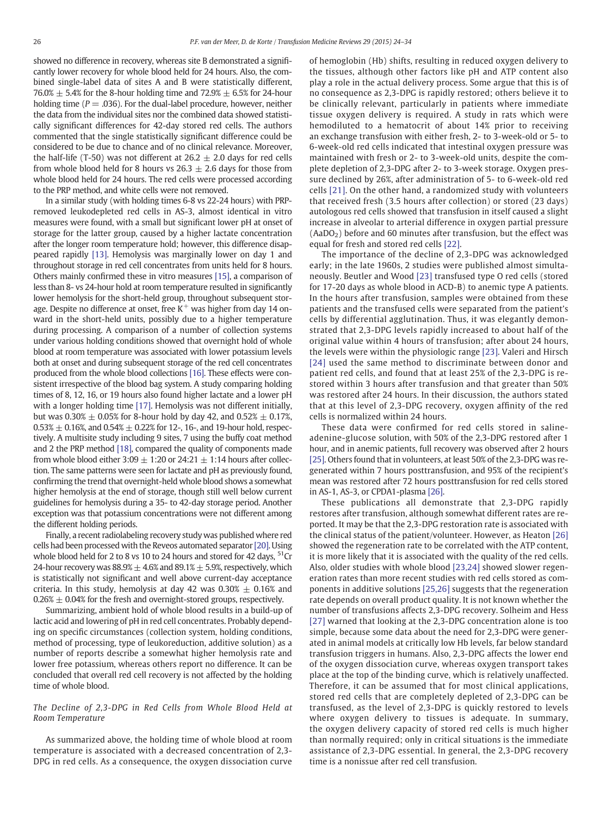showed no difference in recovery, whereas site B demonstrated a significantly lower recovery for whole blood held for 24 hours. Also, the combined single-label data of sites A and B were statistically different,  $76.0\% \pm 5.4\%$  for the 8-hour holding time and  $72.9\% \pm 6.5\%$  for 24-hour holding time ( $P = .036$ ). For the dual-label procedure, however, neither the data from the individual sites nor the combined data showed statistically significant differences for 42-day stored red cells. The authors commented that the single statistically significant difference could be considered to be due to chance and of no clinical relevance. Moreover, the half-life (T-50) was not different at  $26.2 \pm 2.0$  days for red cells from whole blood held for 8 hours vs  $26.3 \pm 2.6$  days for those from whole blood held for 24 hours. The red cells were processed according to the PRP method, and white cells were not removed.

In a similar study (with holding times 6-8 vs 22-24 hours) with PRPremoved leukodepleted red cells in AS-3, almost identical in vitro measures were found, with a small but significant lower pH at onset of storage for the latter group, caused by a higher lactate concentration after the longer room temperature hold; however, this difference disappeared rapidly [\[13\].](#page-9-0) Hemolysis was marginally lower on day 1 and throughout storage in red cell concentrates from units held for 8 hours. Others mainly confirmed these in vitro measures [\[15\],](#page-9-0) a comparison of less than 8- vs 24-hour hold at room temperature resulted in significantly lower hemolysis for the short-held group, throughout subsequent storage. Despite no difference at onset, free  $K^+$  was higher from day 14 onward in the short-held units, possibly due to a higher temperature during processing. A comparison of a number of collection systems under various holding conditions showed that overnight hold of whole blood at room temperature was associated with lower potassium levels both at onset and during subsequent storage of the red cell concentrates produced from the whole blood collections [\[16\].](#page-9-0) These effects were consistent irrespective of the blood bag system. A study comparing holding times of 8, 12, 16, or 19 hours also found higher lactate and a lower pH with a longer holding time [\[17\]](#page-9-0). Hemolysis was not different initially, but was  $0.30\% \pm 0.05\%$  for 8-hour hold by day 42, and  $0.52\% \pm 0.17\%$ ,  $0.53\% \pm 0.16\%$ , and  $0.54\% \pm 0.22\%$  for 12-, 16-, and 19-hour hold, respectively. A multisite study including 9 sites, 7 using the buffy coat method and 2 the PRP method [\[18\],](#page-9-0) compared the quality of components made from whole blood either 3:09  $\pm$  1:20 or 24:21  $\pm$  1:14 hours after collection. The same patterns were seen for lactate and pH as previously found, confirming the trend that overnight-held whole blood shows a somewhat higher hemolysis at the end of storage, though still well below current guidelines for hemolysis during a 35- to 42-day storage period. Another exception was that potassium concentrations were not different among the different holding periods.

Finally, a recent radiolabeling recovery study was published where red cells had been processed with the Reveos automated separator [\[20\].](#page-9-0) Using whole blood held for 2 to 8 vs 10 to 24 hours and stored for 42 days,  $^{51}Cr$ 24-hour recovery was  $88.9\% \pm 4.6\%$  and  $89.1\% \pm 5.9\%$ , respectively, which is statistically not significant and well above current-day acceptance criteria. In this study, hemolysis at day 42 was  $0.30\% \pm 0.16\%$  and  $0.26\% \pm 0.04\%$  for the fresh and overnight-stored groups, respectively.

Summarizing, ambient hold of whole blood results in a build-up of lactic acid and lowering of pH in red cell concentrates. Probably depending on specific circumstances (collection system, holding conditions, method of processing, type of leukoreduction, additive solution) as a number of reports describe a somewhat higher hemolysis rate and lower free potassium, whereas others report no difference. It can be concluded that overall red cell recovery is not affected by the holding time of whole blood.

# The Decline of 2,3-DPG in Red Cells from Whole Blood Held at Room Temperature

As summarized above, the holding time of whole blood at room temperature is associated with a decreased concentration of 2,3- DPG in red cells. As a consequence, the oxygen dissociation curve

of hemoglobin (Hb) shifts, resulting in reduced oxygen delivery to the tissues, although other factors like pH and ATP content also play a role in the actual delivery process. Some argue that this is of no consequence as 2,3-DPG is rapidly restored; others believe it to be clinically relevant, particularly in patients where immediate tissue oxygen delivery is required. A study in rats which were hemodiluted to a hematocrit of about 14% prior to receiving an exchange transfusion with either fresh, 2- to 3-week-old or 5- to 6-week-old red cells indicated that intestinal oxygen pressure was maintained with fresh or 2- to 3-week-old units, despite the complete depletion of 2,3-DPG after 2- to 3-week storage. Oxygen pressure declined by 26%, after administration of 5- to 6-week-old red cells [\[21\]](#page-9-0). On the other hand, a randomized study with volunteers that received fresh (3.5 hours after collection) or stored (23 days) autologous red cells showed that transfusion in itself caused a slight increase in alveolar to arterial difference in oxygen partial pressure  $(AaDO<sub>2</sub>)$  before and 60 minutes after transfusion, but the effect was equal for fresh and stored red cells [\[22\]](#page-9-0).

The importance of the decline of 2,3-DPG was acknowledged early; in the late 1960s, 2 studies were published almost simultaneously. Beutler and Wood [\[23\]](#page-9-0) transfused type O red cells (stored for 17-20 days as whole blood in ACD-B) to anemic type A patients. In the hours after transfusion, samples were obtained from these patients and the transfused cells were separated from the patient's cells by differential agglutination. Thus, it was elegantly demonstrated that 2,3-DPG levels rapidly increased to about half of the original value within 4 hours of transfusion; after about 24 hours, the levels were within the physiologic range [\[23\]](#page-9-0). Valeri and Hirsch [\[24\]](#page-9-0) used the same method to discriminate between donor and patient red cells, and found that at least 25% of the 2,3-DPG is restored within 3 hours after transfusion and that greater than 50% was restored after 24 hours. In their discussion, the authors stated that at this level of 2,3-DPG recovery, oxygen affinity of the red cells is normalized within 24 hours.

These data were confirmed for red cells stored in salineadenine-glucose solution, with 50% of the 2,3-DPG restored after 1 hour, and in anemic patients, full recovery was observed after 2 hours [\[25\].](#page-9-0) Others found that in volunteers, at least 50% of the 2,3-DPG was regenerated within 7 hours posttransfusion, and 95% of the recipient's mean was restored after 72 hours posttransfusion for red cells stored in AS-1, AS-3, or CPDA1-plasma [\[26\].](#page-9-0)

These publications all demonstrate that 2,3-DPG rapidly restores after transfusion, although somewhat different rates are reported. It may be that the 2,3-DPG restoration rate is associated with the clinical status of the patient/volunteer. However, as Heaton [\[26\]](#page-9-0) showed the regeneration rate to be correlated with the ATP content, it is more likely that it is associated with the quality of the red cells. Also, older studies with whole blood [\[23,24\]](#page-9-0) showed slower regeneration rates than more recent studies with red cells stored as components in additive solutions [\[25,26\]](#page-9-0) suggests that the regeneration rate depends on overall product quality. It is not known whether the number of transfusions affects 2,3-DPG recovery. Solheim and Hess [\[27\]](#page-9-0) warned that looking at the 2,3-DPG concentration alone is too simple, because some data about the need for 2,3-DPG were generated in animal models at critically low Hb levels, far below standard transfusion triggers in humans. Also, 2,3-DPG affects the lower end of the oxygen dissociation curve, whereas oxygen transport takes place at the top of the binding curve, which is relatively unaffected. Therefore, it can be assumed that for most clinical applications, stored red cells that are completely depleted of 2,3-DPG can be transfused, as the level of 2,3-DPG is quickly restored to levels where oxygen delivery to tissues is adequate. In summary, the oxygen delivery capacity of stored red cells is much higher than normally required; only in critical situations is the immediate assistance of 2,3-DPG essential. In general, the 2,3-DPG recovery time is a nonissue after red cell transfusion.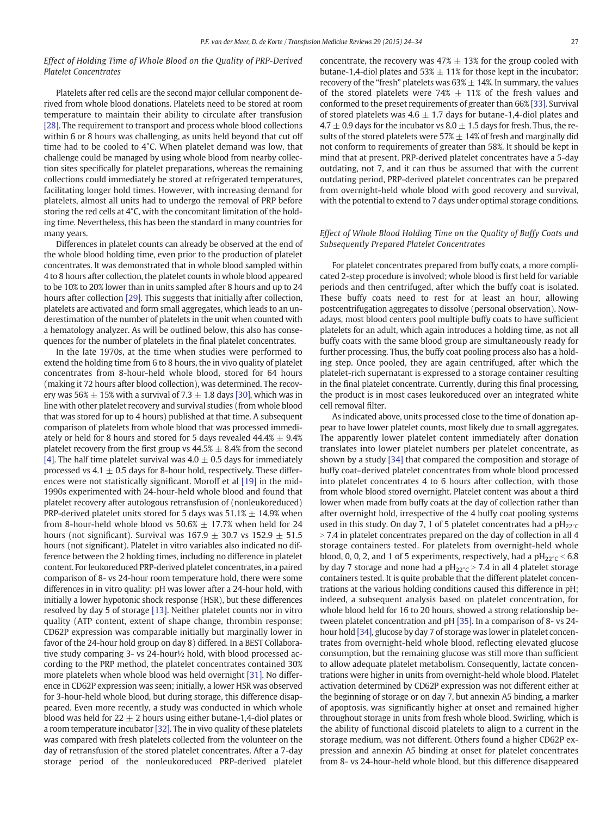# Effect of Holding Time of Whole Blood on the Quality of PRP-Derived Platelet Concentrates

Platelets after red cells are the second major cellular component derived from whole blood donations. Platelets need to be stored at room temperature to maintain their ability to circulate after transfusion [\[28\].](#page-10-0) The requirement to transport and process whole blood collections within 6 or 8 hours was challenging, as units held beyond that cut off time had to be cooled to 4°C. When platelet demand was low, that challenge could be managed by using whole blood from nearby collection sites specifically for platelet preparations, whereas the remaining collections could immediately be stored at refrigerated temperatures, facilitating longer hold times. However, with increasing demand for platelets, almost all units had to undergo the removal of PRP before storing the red cells at 4°C, with the concomitant limitation of the holding time. Nevertheless, this has been the standard in many countries for many years.

Differences in platelet counts can already be observed at the end of the whole blood holding time, even prior to the production of platelet concentrates. It was demonstrated that in whole blood sampled within 4 to 8 hours after collection, the platelet counts in whole blood appeared to be 10% to 20% lower than in units sampled after 8 hours and up to 24 hours after collection [\[29\].](#page-10-0) This suggests that initially after collection, platelets are activated and form small aggregates, which leads to an underestimation of the number of platelets in the unit when counted with a hematology analyzer. As will be outlined below, this also has consequences for the number of platelets in the final platelet concentrates.

In the late 1970s, at the time when studies were performed to extend the holding time from 6 to 8 hours, the in vivo quality of platelet concentrates from 8-hour-held whole blood, stored for 64 hours (making it 72 hours after blood collection), was determined. The recovery was 56%  $\pm$  15% with a survival of 7.3  $\pm$  1.8 days [\[30\],](#page-10-0) which was in line with other platelet recovery and survival studies (from whole blood that was stored for up to 4 hours) published at that time. A subsequent comparison of platelets from whole blood that was processed immediately or held for 8 hours and stored for 5 days revealed  $44.4\% + 9.4\%$ platelet recovery from the first group vs  $44.5\% \pm 8.4\%$  from the second [\[4\].](#page-9-0) The half time platelet survival was  $4.0 \pm 0.5$  days for immediately processed vs 4.1  $\pm$  0.5 days for 8-hour hold, respectively. These differences were not statistically significant. Moroff et al [\[19\]](#page-9-0) in the mid-1990s experimented with 24-hour-held whole blood and found that platelet recovery after autologous retransfusion of (nonleukoreduced) PRP-derived platelet units stored for 5 days was  $51.1\% \pm 14.9\%$  when from 8-hour-held whole blood vs 50.6%  $\pm$  17.7% when held for 24 hours (not significant). Survival was  $167.9 \pm 30.7$  vs  $152.9 \pm 51.5$ hours (not significant). Platelet in vitro variables also indicated no difference between the 2 holding times, including no difference in platelet content. For leukoreduced PRP-derived platelet concentrates, in a paired comparison of 8- vs 24-hour room temperature hold, there were some differences in in vitro quality: pH was lower after a 24-hour hold, with initially a lower hypotonic shock response (HSR), but these differences resolved by day 5 of storage [\[13\]](#page-9-0). Neither platelet counts nor in vitro quality (ATP content, extent of shape change, thrombin response; CD62P expression was comparable initially but marginally lower in favor of the 24-hour hold group on day 8) differed. In a BEST Collaborative study comparing 3- vs 24-hour½ hold, with blood processed according to the PRP method, the platelet concentrates contained 30% more platelets when whole blood was held overnight [\[31\]](#page-10-0). No difference in CD62P expression was seen; initially, a lower HSR was observed for 3-hour-held whole blood, but during storage, this difference disappeared. Even more recently, a study was conducted in which whole blood was held for  $22 \pm 2$  hours using either butane-1,4-diol plates or a room temperature incubator [\[32\].](#page-10-0) The in vivo quality of these platelets was compared with fresh platelets collected from the volunteer on the day of retransfusion of the stored platelet concentrates. After a 7-day storage period of the nonleukoreduced PRP-derived platelet concentrate, the recovery was  $47\% \pm 13\%$  for the group cooled with butane-1,4-diol plates and  $53\% \pm 11\%$  for those kept in the incubator; recovery of the "fresh" platelets was  $63\% \pm 14\%$ . In summary, the values of the stored platelets were 74%  $\pm$  11% of the fresh values and conformed to the preset requirements of greater than 66% [\[33\]](#page-10-0). Survival of stored platelets was 4.6  $\pm$  1.7 days for butane-1,4-diol plates and  $4.7 \pm 0.9$  days for the incubator vs  $8.0 \pm 1.5$  days for fresh. Thus, the results of the stored platelets were  $57\% \pm 14\%$  of fresh and marginally did not conform to requirements of greater than 58%. It should be kept in mind that at present, PRP-derived platelet concentrates have a 5-day outdating, not 7, and it can thus be assumed that with the current outdating period, PRP-derived platelet concentrates can be prepared from overnight-held whole blood with good recovery and survival, with the potential to extend to 7 days under optimal storage conditions.

# Effect of Whole Blood Holding Time on the Quality of Buffy Coats and Subsequently Prepared Platelet Concentrates

For platelet concentrates prepared from buffy coats, a more complicated 2-step procedure is involved; whole blood is first held for variable periods and then centrifuged, after which the buffy coat is isolated. These buffy coats need to rest for at least an hour, allowing postcentrifugation aggregates to dissolve (personal observation). Nowadays, most blood centers pool multiple buffy coats to have sufficient platelets for an adult, which again introduces a holding time, as not all buffy coats with the same blood group are simultaneously ready for further processing. Thus, the buffy coat pooling process also has a holding step. Once pooled, they are again centrifuged, after which the platelet-rich supernatant is expressed to a storage container resulting in the final platelet concentrate. Currently, during this final processing, the product is in most cases leukoreduced over an integrated white cell removal filter.

As indicated above, units processed close to the time of donation appear to have lower platelet counts, most likely due to small aggregates. The apparently lower platelet content immediately after donation translates into lower platelet numbers per platelet concentrate, as shown by a study [\[34\]](#page-10-0) that compared the composition and storage of buffy coat–derived platelet concentrates from whole blood processed into platelet concentrates 4 to 6 hours after collection, with those from whole blood stored overnight. Platelet content was about a third lower when made from buffy coats at the day of collection rather than after overnight hold, irrespective of the 4 buffy coat pooling systems used in this study. On day 7, 1 of 5 platelet concentrates had a  $pH_{22}^{\circ}c$  $>$  7.4 in platelet concentrates prepared on the day of collection in all 4 storage containers tested. For platelets from overnight-held whole blood, 0, 0, 2, and 1 of 5 experiments, respectively, had a  $pH_{22}^{\circ}C} < 6.8$ by day 7 storage and none had a  $pH_{22}c > 7.4$  in all 4 platelet storage containers tested. It is quite probable that the different platelet concentrations at the various holding conditions caused this difference in pH; indeed, a subsequent analysis based on platelet concentration, for whole blood held for 16 to 20 hours, showed a strong relationship between platelet concentration and pH [\[35\].](#page-10-0) In a comparison of 8- vs 24 hour hold [\[34\],](#page-10-0) glucose by day 7 of storage was lower in platelet concentrates from overnight-held whole blood, reflecting elevated glucose consumption, but the remaining glucose was still more than sufficient to allow adequate platelet metabolism. Consequently, lactate concentrations were higher in units from overnight-held whole blood. Platelet activation determined by CD62P expression was not different either at the beginning of storage or on day 7, but annexin A5 binding, a marker of apoptosis, was significantly higher at onset and remained higher throughout storage in units from fresh whole blood. Swirling, which is the ability of functional discoid platelets to align to a current in the storage medium, was not different. Others found a higher CD62P expression and annexin A5 binding at onset for platelet concentrates from 8- vs 24-hour-held whole blood, but this difference disappeared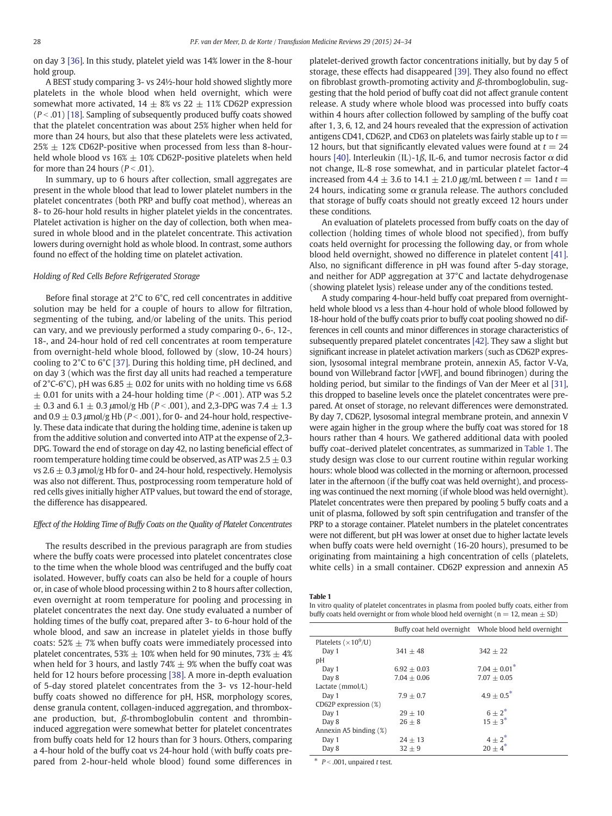<span id="page-4-0"></span>on day 3 [\[36\].](#page-10-0) In this study, platelet yield was 14% lower in the 8-hour hold group.

A BEST study comparing 3- vs 24½-hour hold showed slightly more platelets in the whole blood when held overnight, which were somewhat more activated,  $14 \pm 8\%$  vs  $22 \pm 11\%$  CD62P expression  $(P < .01)$  [\[18\].](#page-9-0) Sampling of subsequently produced buffy coats showed that the platelet concentration was about 25% higher when held for more than 24 hours, but also that these platelets were less activated,  $25\% \pm 12\%$  CD62P-positive when processed from less than 8-hourheld whole blood vs  $16\% \pm 10\%$  CD62P-positive platelets when held for more than 24 hours ( $P < .01$ ).

In summary, up to 6 hours after collection, small aggregates are present in the whole blood that lead to lower platelet numbers in the platelet concentrates (both PRP and buffy coat method), whereas an 8- to 26-hour hold results in higher platelet yields in the concentrates. Platelet activation is higher on the day of collection, both when measured in whole blood and in the platelet concentrate. This activation lowers during overnight hold as whole blood. In contrast, some authors found no effect of the holding time on platelet activation.

#### Holding of Red Cells Before Refrigerated Storage

Before final storage at 2°C to 6°C, red cell concentrates in additive solution may be held for a couple of hours to allow for filtration, segmenting of the tubing, and/or labeling of the units. This period can vary, and we previously performed a study comparing 0-, 6-, 12-, 18-, and 24-hour hold of red cell concentrates at room temperature from overnight-held whole blood, followed by (slow, 10-24 hours) cooling to 2°C to 6°C [\[37\]](#page-10-0). During this holding time, pH declined, and on day 3 (which was the first day all units had reached a temperature of 2 $^{\circ}$ C-6 $^{\circ}$ C), pH was 6.85  $\pm$  0.02 for units with no holding time vs 6.68  $\pm$  0.01 for units with a 24-hour holding time (P < .001). ATP was 5.2  $\pm$  0.3 and 6.1  $\pm$  0.3  $\mu$ mol/g Hb (P < .001), and 2,3-DPG was 7.4  $\pm$  1.3 and  $0.9 \pm 0.3 \mu$  mol/g Hb (P < .001), for 0- and 24-hour hold, respectively. These data indicate that during the holding time, adenine is taken up from the additive solution and converted into ATP at the expense of 2,3- DPG. Toward the end of storage on day 42, no lasting beneficial effect of room temperature holding time could be observed, as ATP was  $2.5 \pm 0.3$ vs  $2.6 \pm 0.3 \mu$ mol/g Hb for 0- and 24-hour hold, respectively. Hemolysis was also not different. Thus, postprocessing room temperature hold of red cells gives initially higher ATP values, but toward the end of storage, the difference has disappeared.

#### Effect of the Holding Time of Buffy Coats on the Quality of Platelet Concentrates

The results described in the previous paragraph are from studies where the buffy coats were processed into platelet concentrates close to the time when the whole blood was centrifuged and the buffy coat isolated. However, buffy coats can also be held for a couple of hours or, in case of whole blood processing within 2 to 8 hours after collection, even overnight at room temperature for pooling and processing in platelet concentrates the next day. One study evaluated a number of holding times of the buffy coat, prepared after 3- to 6-hour hold of the whole blood, and saw an increase in platelet yields in those buffy coats:  $52\% \pm 7\%$  when buffy coats were immediately processed into platelet concentrates,  $53\% \pm 10\%$  when held for 90 minutes,  $73\% \pm 4\%$ when held for 3 hours, and lastly  $74\% \pm 9\%$  when the buffy coat was held for 12 hours before processing [\[38\].](#page-10-0) A more in-depth evaluation of 5-day stored platelet concentrates from the 3- vs 12-hour-held buffy coats showed no difference for pH, HSR, morphology scores, dense granula content, collagen-induced aggregation, and thromboxane production, but,  $\beta$ -thromboglobulin content and thrombininduced aggregation were somewhat better for platelet concentrates from buffy coats held for 12 hours than for 3 hours. Others, comparing a 4-hour hold of the buffy coat vs 24-hour hold (with buffy coats prepared from 2-hour-held whole blood) found some differences in

platelet-derived growth factor concentrations initially, but by day 5 of storage, these effects had disappeared [\[39\].](#page-10-0) They also found no effect on fibroblast growth-promoting activity and  $\beta$ -thromboglobulin, suggesting that the hold period of buffy coat did not affect granule content release. A study where whole blood was processed into buffy coats within 4 hours after collection followed by sampling of the buffy coat after 1, 3, 6, 12, and 24 hours revealed that the expression of activation antigens CD41, CD62P, and CD63 on platelets was fairly stable up to  $t =$ 12 hours, but that significantly elevated values were found at  $t = 24$ hours [\[40\].](#page-10-0) Interleukin (IL)-1ß, IL-6, and tumor necrosis factor  $\alpha$  did not change, IL-8 rose somewhat, and in particular platelet factor-4 increased from 4.4  $\pm$  3.6 to 14.1  $\pm$  21.0  $\mu$ g/mL between t = 1and t = 24 hours, indicating some  $\alpha$  granula release. The authors concluded that storage of buffy coats should not greatly exceed 12 hours under these conditions.

An evaluation of platelets processed from buffy coats on the day of collection (holding times of whole blood not specified), from buffy coats held overnight for processing the following day, or from whole blood held overnight, showed no difference in platelet content [\[41\].](#page-10-0) Also, no significant difference in pH was found after 5-day storage, and neither for ADP aggregation at 37°C and lactate dehydrogenase (showing platelet lysis) release under any of the conditions tested.

A study comparing 4-hour-held buffy coat prepared from overnightheld whole blood vs a less than 4-hour hold of whole blood followed by 18-hour hold of the buffy coats prior to buffy coat pooling showed no differences in cell counts and minor differences in storage characteristics of subsequently prepared platelet concentrates [\[42\].](#page-10-0) They saw a slight but significant increase in platelet activation markers (such as CD62P expression, lysosomal integral membrane protein, annexin A5, factor V-Va, bound von Willebrand factor [vWF], and bound fibrinogen) during the holding period, but similar to the findings of Van der Meer et al [\[31\],](#page-10-0) this dropped to baseline levels once the platelet concentrates were prepared. At onset of storage, no relevant differences were demonstrated. By day 7, CD62P, lysosomal integral membrane protein, and annexin V were again higher in the group where the buffy coat was stored for 18 hours rather than 4 hours. We gathered additional data with pooled buffy coat–derived platelet concentrates, as summarized in Table 1. The study design was close to our current routine within regular working hours: whole blood was collected in the morning or afternoon, processed later in the afternoon (if the buffy coat was held overnight), and processing was continued the next morning (if whole blood was held overnight). Platelet concentrates were then prepared by pooling 5 buffy coats and a unit of plasma, followed by soft spin centrifugation and transfer of the PRP to a storage container. Platelet numbers in the platelet concentrates were not different, but pH was lower at onset due to higher lactate levels when buffy coats were held overnight (16-20 hours), presumed to be originating from maintaining a high concentration of cells (platelets, white cells) in a small container. CD62P expression and annexin A5

Table 1

In vitro quality of platelet concentrates in plasma from pooled buffy coats, either from buffy coats held overnight or from whole blood held overnight ( $n = 12$ , mean  $\pm$  SD)

|                               |               | Buffy coat held overnight Whole blood held overnight |  |
|-------------------------------|---------------|------------------------------------------------------|--|
| Platelets ( $\times 10^9$ /U) |               |                                                      |  |
| Day 1                         | $341 + 48$    | $342 + 22$                                           |  |
| pH                            |               |                                                      |  |
| Day 1                         | $6.92 + 0.03$ | $7.04 + 0.01^*$                                      |  |
| Day 8                         | $7.04 + 0.06$ | $7.07 + 0.05$                                        |  |
| Lactate $(mmol/L)$            |               |                                                      |  |
| Day 1                         | $7.9 + 0.7$   | $4.9 + 0.5^*$                                        |  |
| CD62P expression (%)          |               |                                                      |  |
| Day 1                         | $29 + 10$     | $6\pm2^*$                                            |  |
| Day 8                         | $26 + 8$      | $15 + 3^*$                                           |  |
| Annexin A5 binding (%)        |               |                                                      |  |
| Day 1                         | $24 + 13$     | $4 \pm 2^*$                                          |  |
| Day 8                         | $32 + 9$      | $20+4$ <sup>*</sup>                                  |  |

 $*$  P < .001, unpaired t test.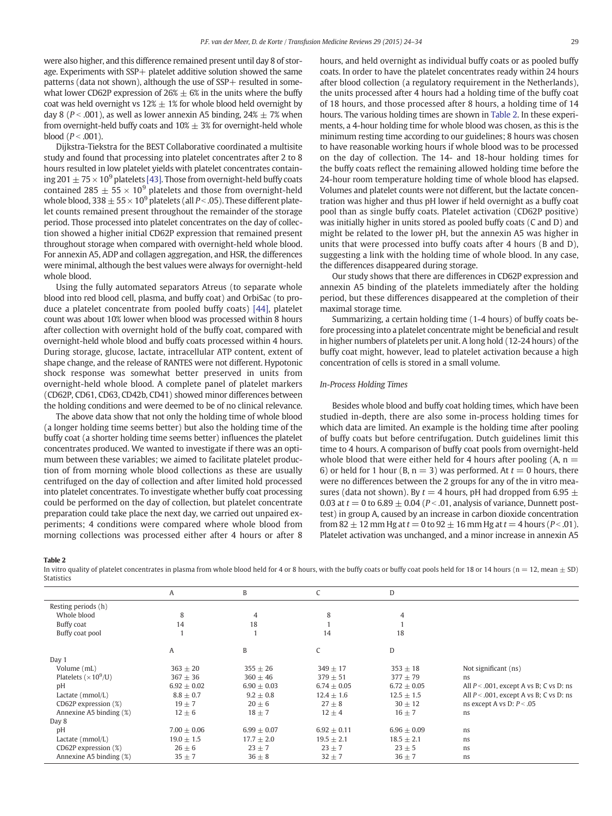were also higher, and this difference remained present until day 8 of storage. Experiments with SSP+ platelet additive solution showed the same patterns (data not shown), although the use of  $SSP+$  resulted in somewhat lower CD62P expression of  $26\% \pm 6\%$  in the units where the buffy coat was held overnight vs  $12\% \pm 1\%$  for whole blood held overnight by day 8 ( $P < .001$ ), as well as lower annexin A5 binding, 24%  $\pm$  7% when from overnight-held buffy coats and  $10\% \pm 3\%$  for overnight-held whole blood  $(P < .001)$ .

Dijkstra-Tiekstra for the BEST Collaborative coordinated a multisite study and found that processing into platelet concentrates after 2 to 8 hours resulted in low platelet yields with platelet concentrates containing 201  $\pm$  75  $\times$  10<sup>9</sup> platelets [\[43\].](#page-10-0) Those from overnight-held buffy coats contained 285  $\pm$  55  $\times$  10<sup>9</sup> platelets and those from overnight-held whole blood, 338  $\pm$  55  $\times$  10 $^9$  platelets (all P< .05). These different platelet counts remained present throughout the remainder of the storage period. Those processed into platelet concentrates on the day of collection showed a higher initial CD62P expression that remained present throughout storage when compared with overnight-held whole blood. For annexin A5, ADP and collagen aggregation, and HSR, the differences were minimal, although the best values were always for overnight-held whole blood.

Using the fully automated separators Atreus (to separate whole blood into red blood cell, plasma, and buffy coat) and OrbiSac (to produce a platelet concentrate from pooled buffy coats) [\[44\],](#page-10-0) platelet count was about 10% lower when blood was processed within 8 hours after collection with overnight hold of the buffy coat, compared with overnight-held whole blood and buffy coats processed within 4 hours. During storage, glucose, lactate, intracellular ATP content, extent of shape change, and the release of RANTES were not different. Hypotonic shock response was somewhat better preserved in units from overnight-held whole blood. A complete panel of platelet markers (CD62P, CD61, CD63, CD42b, CD41) showed minor differences between the holding conditions and were deemed to be of no clinical relevance.

The above data show that not only the holding time of whole blood (a longer holding time seems better) but also the holding time of the buffy coat (a shorter holding time seems better) influences the platelet concentrates produced. We wanted to investigate if there was an optimum between these variables; we aimed to facilitate platelet production of from morning whole blood collections as these are usually centrifuged on the day of collection and after limited hold processed into platelet concentrates. To investigate whether buffy coat processing could be performed on the day of collection, but platelet concentrate preparation could take place the next day, we carried out unpaired experiments; 4 conditions were compared where whole blood from morning collections was processed either after 4 hours or after 8 hours, and held overnight as individual buffy coats or as pooled buffy coats. In order to have the platelet concentrates ready within 24 hours after blood collection (a regulatory requirement in the Netherlands), the units processed after 4 hours had a holding time of the buffy coat of 18 hours, and those processed after 8 hours, a holding time of 14 hours. The various holding times are shown in Table 2. In these experiments, a 4-hour holding time for whole blood was chosen, as this is the minimum resting time according to our guidelines; 8 hours was chosen to have reasonable working hours if whole blood was to be processed on the day of collection. The 14- and 18-hour holding times for the buffy coats reflect the remaining allowed holding time before the 24-hour room temperature holding time of whole blood has elapsed. Volumes and platelet counts were not different, but the lactate concentration was higher and thus pH lower if held overnight as a buffy coat pool than as single buffy coats. Platelet activation (CD62P positive) was initially higher in units stored as pooled buffy coats (C and D) and might be related to the lower pH, but the annexin A5 was higher in units that were processed into buffy coats after 4 hours (B and D), suggesting a link with the holding time of whole blood. In any case, the differences disappeared during storage.

Our study shows that there are differences in CD62P expression and annexin A5 binding of the platelets immediately after the holding period, but these differences disappeared at the completion of their maximal storage time.

Summarizing, a certain holding time (1-4 hours) of buffy coats before processing into a platelet concentrate might be beneficial and result in higher numbers of platelets per unit. A long hold (12-24 hours) of the buffy coat might, however, lead to platelet activation because a high concentration of cells is stored in a small volume.

# In-Process Holding Times

Besides whole blood and buffy coat holding times, which have been studied in-depth, there are also some in-process holding times for which data are limited. An example is the holding time after pooling of buffy coats but before centrifugation. Dutch guidelines limit this time to 4 hours. A comparison of buffy coat pools from overnight-held whole blood that were either held for 4 hours after pooling  $(A, n =$ 6) or held for 1 hour (B,  $n = 3$ ) was performed. At  $t = 0$  hours, there were no differences between the 2 groups for any of the in vitro measures (data not shown). By  $t = 4$  hours, pH had dropped from 6.95  $\pm$ 0.03 at  $t = 0$  to 6.89  $\pm$  0.04 (P < .01, analysis of variance, Dunnett posttest) in group A, caused by an increase in carbon dioxide concentration from 82  $\pm$  12 mm Hg at  $t = 0$  to 92  $\pm$  16 mm Hg at  $t = 4$  hours (P< .01). Platelet activation was unchanged, and a minor increase in annexin A5

Table 2

In vitro quality of platelet concentrates in plasma from whole blood held for 4 or 8 hours, with the buffy coats or buffy coat pools held for 18 or 14 hours (n = 12, mean  $\pm$  SD) **Statistics** 

| A               | B               | C               | D               |                                            |
|-----------------|-----------------|-----------------|-----------------|--------------------------------------------|
|                 |                 |                 |                 |                                            |
| 8               | 4               | 8               | 4               |                                            |
| 14              | 18              |                 |                 |                                            |
|                 |                 | 14              | 18              |                                            |
| A               | B               | C               | D               |                                            |
|                 |                 |                 |                 |                                            |
| $363 \pm 20$    | $355 \pm 26$    | $349 \pm 17$    | $353 \pm 18$    | Not significant (ns)                       |
| $367 \pm 36$    | $360 \pm 46$    | $379 \pm 51$    | $377 + 79$      | ns                                         |
| $6.92 \pm 0.02$ | $6.90 \pm 0.03$ | $6.74 + 0.05$   | $6.72 \pm 0.05$ | All $P < .001$ , except A vs B; C vs D: ns |
| $8.8 \pm 0.7$   | $9.2 \pm 0.8$   | $12.4 \pm 1.6$  | $12.5 \pm 1.5$  | All $P < .001$ , except A vs B; C vs D; ns |
| $19 \pm 7$      | $20 \pm 6$      | $27 \pm 8$      | $30 \pm 12$     | ns except A vs D: $P < .05$                |
| $12 \pm 6$      | $18 \pm 7$      | $12 \pm 4$      | $16 \pm 7$      | ns.                                        |
|                 |                 |                 |                 |                                            |
| $7.00 \pm 0.06$ | $6.99 \pm 0.07$ | $6.92 \pm 0.11$ | $6.96 \pm 0.09$ | ns.                                        |
| $19.0 \pm 1.5$  | $17.7 \pm 2.0$  | $19.5 \pm 2.1$  | $18.5 \pm 2.1$  | ns.                                        |
| $26 \pm 6$      | $23 \pm 7$      | $23 \pm 7$      | $23 \pm 5$      | ns.                                        |
| $35 + 7$        | $36 \pm 8$      | $32 \pm 7$      | $36 \pm 7$      | ns                                         |
|                 |                 |                 |                 |                                            |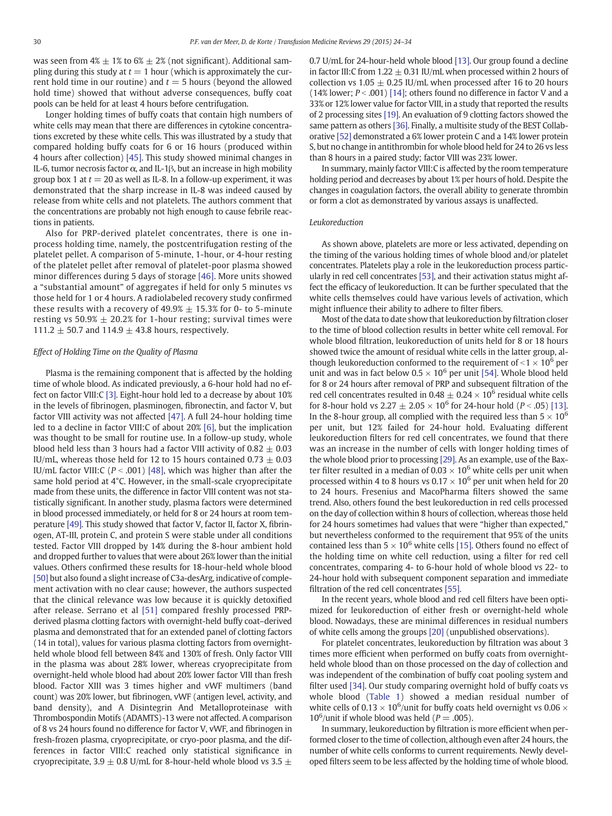was seen from  $4\% \pm 1\%$  to  $6\% \pm 2\%$  (not significant). Additional sampling during this study at  $t = 1$  hour (which is approximately the current hold time in our routine) and  $t = 5$  hours (beyond the allowed hold time) showed that without adverse consequences, buffy coat pools can be held for at least 4 hours before centrifugation.

Longer holding times of buffy coats that contain high numbers of white cells may mean that there are differences in cytokine concentrations excreted by these white cells. This was illustrated by a study that compared holding buffy coats for 6 or 16 hours (produced within 4 hours after collection) [\[45\]](#page-10-0). This study showed minimal changes in IL-6, tumor necrosis factor  $\alpha$ , and IL-1β, but an increase in high mobility group box 1 at  $t = 20$  as well as IL-8. In a follow-up experiment, it was demonstrated that the sharp increase in IL-8 was indeed caused by release from white cells and not platelets. The authors comment that the concentrations are probably not high enough to cause febrile reactions in patients.

Also for PRP-derived platelet concentrates, there is one inprocess holding time, namely, the postcentrifugation resting of the platelet pellet. A comparison of 5-minute, 1-hour, or 4-hour resting of the platelet pellet after removal of platelet-poor plasma showed minor differences during 5 days of storage [\[46\].](#page-10-0) More units showed a "substantial amount" of aggregates if held for only 5 minutes vs those held for 1 or 4 hours. A radiolabeled recovery study confirmed these results with a recovery of  $49.9% \pm 15.3%$  for 0- to 5-minute resting vs  $50.9% \pm 20.2%$  for 1-hour resting; survival times were 111.2  $\pm$  50.7 and 114.9  $\pm$  43.8 hours, respectively.

### Effect of Holding Time on the Quality of Plasma

Plasma is the remaining component that is affected by the holding time of whole blood. As indicated previously, a 6-hour hold had no effect on factor VIII:C [\[3\].](#page-9-0) Eight-hour hold led to a decrease by about 10% in the levels of fibrinogen, plasminogen, fibronectin, and factor V, but factor VIII activity was not affected [\[47\]](#page-10-0). A full 24-hour holding time led to a decline in factor VIII:C of about 20% [\[6\]](#page-9-0), but the implication was thought to be small for routine use. In a follow-up study, whole blood held less than 3 hours had a factor VIII activity of  $0.82 \pm 0.03$ IU/mL, whereas those held for 12 to 15 hours contained 0.73  $\pm$  0.03 IU/mL factor VIII:C ( $P < .001$ ) [\[48\],](#page-10-0) which was higher than after the same hold period at 4°C. However, in the small-scale cryoprecipitate made from these units, the difference in factor VIII content was not statistically significant. In another study, plasma factors were determined in blood processed immediately, or held for 8 or 24 hours at room temperature [\[49\]](#page-10-0). This study showed that factor V, factor II, factor X, fibrinogen, AT-III, protein C, and protein S were stable under all conditions tested. Factor VIII dropped by 14% during the 8-hour ambient hold and dropped further to values that were about 26% lower than the initial values. Others confirmed these results for 18-hour-held whole blood [\[50\]](#page-10-0) but also found a slight increase of C3a-desArg, indicative of complement activation with no clear cause; however, the authors suspected that the clinical relevance was low because it is quickly detoxified after release. Serrano et al [\[51\]](#page-10-0) compared freshly processed PRPderived plasma clotting factors with overnight-held buffy coat–derived plasma and demonstrated that for an extended panel of clotting factors (14 in total), values for various plasma clotting factors from overnightheld whole blood fell between 84% and 130% of fresh. Only factor VIII in the plasma was about 28% lower, whereas cryoprecipitate from overnight-held whole blood had about 20% lower factor VIII than fresh blood. Factor XIII was 3 times higher and vWF multimers (band count) was 20% lower, but fibrinogen, vWF (antigen level, activity, and band density), and A Disintegrin And Metalloproteinase with Thrombospondin Motifs (ADAMTS)-13 were not affected. A comparison of 8 vs 24 hours found no difference for factor V, vWF, and fibrinogen in fresh-frozen plasma, cryoprecipitate, or cryo-poor plasma, and the differences in factor VIII:C reached only statistical significance in cryoprecipitate, 3.9  $\pm$  0.8 U/mL for 8-hour-held whole blood vs 3.5  $\pm$ 

0.7 U/mL for 24-hour-held whole blood [\[13\].](#page-9-0) Our group found a decline in factor III:C from 1.22  $\pm$  0.31 IU/mL when processed within 2 hours of collection vs 1.05  $\pm$  0.25 IU/mL when processed after 16 to 20 hours (14% lower;  $P < .001$ ) [\[14\];](#page-9-0) others found no difference in factor V and a 33% or 12% lower value for factor VIII, in a study that reported the results of 2 processing sites [\[19\].](#page-9-0) An evaluation of 9 clotting factors showed the same pattern as others [\[36\].](#page-10-0) Finally, a multisite study of the BEST Collaborative [\[52\]](#page-10-0) demonstrated a 6% lower protein C and a 14% lower protein S, but no change in antithrombin for whole blood held for 24 to 26 vs less than 8 hours in a paired study; factor VIII was 23% lower.

In summary, mainly factor VIII:C is affected by the room temperature holding period and decreases by about 1% per hours of hold. Despite the changes in coagulation factors, the overall ability to generate thrombin or form a clot as demonstrated by various assays is unaffected.

# Leukoreduction

As shown above, platelets are more or less activated, depending on the timing of the various holding times of whole blood and/or platelet concentrates. Platelets play a role in the leukoreduction process particularly in red cell concentrates [\[53\]](#page-10-0), and their activation status might affect the efficacy of leukoreduction. It can be further speculated that the white cells themselves could have various levels of activation, which might influence their ability to adhere to filter fibers.

Most of the data to date show that leukoreduction by filtration closer to the time of blood collection results in better white cell removal. For whole blood filtration, leukoreduction of units held for 8 or 18 hours showed twice the amount of residual white cells in the latter group, although leukoreduction conformed to the requirement of  $\leq 1 \times 10^6$  per unit and was in fact below  $0.5 \times 10^6$  per unit [\[54\]](#page-10-0). Whole blood held for 8 or 24 hours after removal of PRP and subsequent filtration of the red cell concentrates resulted in  $0.48 \pm 0.24 \times 10^6$  residual white cells for 8-hour hold vs 2.27  $\pm$  2.05  $\times$  10<sup>6</sup> for 24-hour hold (P < .05) [\[13\].](#page-9-0) In the 8-hour group, all complied with the required less than  $5 \times 10^6$ per unit, but 12% failed for 24-hour hold. Evaluating different leukoreduction filters for red cell concentrates, we found that there was an increase in the number of cells with longer holding times of the whole blood prior to processing [\[29\]](#page-10-0). As an example, use of the Baxter filter resulted in a median of  $0.03 \times 10^6$  white cells per unit when processed within 4 to 8 hours vs  $0.17 \times 10^6$  per unit when held for 20 to 24 hours. Fresenius and MacoPharma filters showed the same trend. Also, others found the best leukoreduction in red cells processed on the day of collection within 8 hours of collection, whereas those held for 24 hours sometimes had values that were "higher than expected," but nevertheless conformed to the requirement that 95% of the units contained less than  $5 \times 10^6$  white cells [\[15\].](#page-9-0) Others found no effect of the holding time on white cell reduction, using a filter for red cell concentrates, comparing 4- to 6-hour hold of whole blood vs 22- to 24-hour hold with subsequent component separation and immediate filtration of the red cell concentrates [\[55\]](#page-10-0).

In the recent years, whole blood and red cell filters have been optimized for leukoreduction of either fresh or overnight-held whole blood. Nowadays, these are minimal differences in residual numbers of white cells among the groups [\[20\]](#page-9-0) (unpublished observations).

For platelet concentrates, leukoreduction by filtration was about 3 times more efficient when performed on buffy coats from overnightheld whole blood than on those processed on the day of collection and was independent of the combination of buffy coat pooling system and filter used [\[34\].](#page-10-0) Our study comparing overnight hold of buffy coats vs whole blood ([Table 1\)](#page-4-0) showed a median residual number of white cells of 0.13  $\times$  10<sup>6</sup>/unit for buffy coats held overnight vs 0.06  $\times$  $10^6$ /unit if whole blood was held ( $P = .005$ ).

In summary, leukoreduction by filtration is more efficient when performed closer to the time of collection, although even after 24 hours, the number of white cells conforms to current requirements. Newly developed filters seem to be less affected by the holding time of whole blood.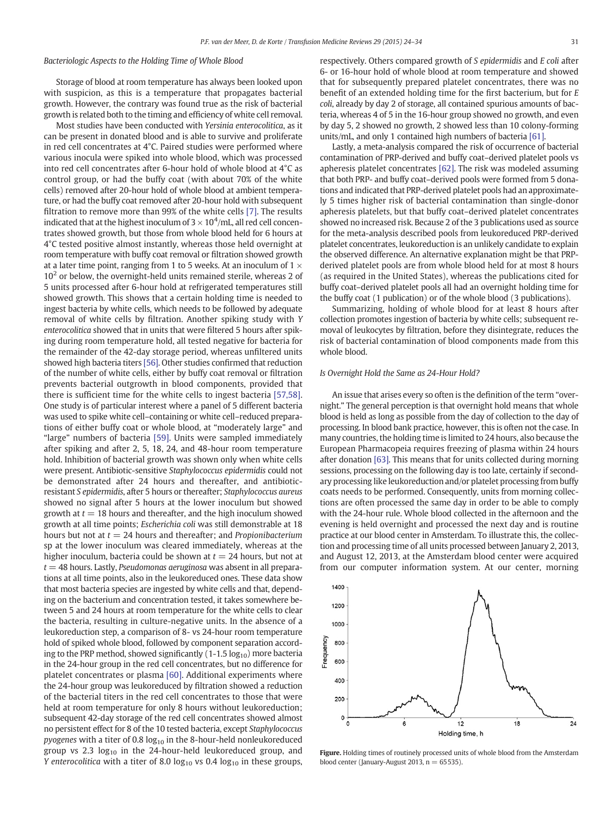# <span id="page-7-0"></span>Bacteriologic Aspects to the Holding Time of Whole Blood

Storage of blood at room temperature has always been looked upon with suspicion, as this is a temperature that propagates bacterial growth. However, the contrary was found true as the risk of bacterial growth is related both to the timing and efficiency of white cell removal.

Most studies have been conducted with Yersinia enterocolitica, as it can be present in donated blood and is able to survive and proliferate in red cell concentrates at 4°C. Paired studies were performed where various inocula were spiked into whole blood, which was processed into red cell concentrates after 6-hour hold of whole blood at 4°C as control group, or had the buffy coat (with about 70% of the white cells) removed after 20-hour hold of whole blood at ambient temperature, or had the buffy coat removed after 20-hour hold with subsequent filtration to remove more than 99% of the white cells [\[7\]](#page-9-0). The results indicated that at the highest inoculum of  $3 \times 10^4$ /mL, all red cell concentrates showed growth, but those from whole blood held for 6 hours at 4°C tested positive almost instantly, whereas those held overnight at room temperature with buffy coat removal or filtration showed growth at a later time point, ranging from 1 to 5 weeks. At an inoculum of 1  $\times$  $10<sup>2</sup>$  or below, the overnight-held units remained sterile, whereas 2 of 5 units processed after 6-hour hold at refrigerated temperatures still showed growth. This shows that a certain holding time is needed to ingest bacteria by white cells, which needs to be followed by adequate removal of white cells by filtration. Another spiking study with Y enterocolitica showed that in units that were filtered 5 hours after spiking during room temperature hold, all tested negative for bacteria for the remainder of the 42-day storage period, whereas unfiltered units showed high bacteria titers [\[56\].](#page-10-0) Other studies confirmed that reduction of the number of white cells, either by buffy coat removal or filtration prevents bacterial outgrowth in blood components, provided that there is sufficient time for the white cells to ingest bacteria [\[57,58\].](#page-10-0) One study is of particular interest where a panel of 5 different bacteria was used to spike white cell–containing or white cell–reduced preparations of either buffy coat or whole blood, at "moderately large" and "large" numbers of bacteria [\[59\]](#page-10-0). Units were sampled immediately after spiking and after 2, 5, 18, 24, and 48-hour room temperature hold. Inhibition of bacterial growth was shown only when white cells were present. Antibiotic-sensitive Staphylococcus epidermidis could not be demonstrated after 24 hours and thereafter, and antibioticresistant S epidermidis, after 5 hours or thereafter; Staphylococcus aureus showed no signal after 5 hours at the lower inoculum but showed growth at  $t = 18$  hours and thereafter, and the high inoculum showed growth at all time points; Escherichia coli was still demonstrable at 18 hours but not at  $t = 24$  hours and thereafter; and *Propionibacterium* sp at the lower inoculum was cleared immediately, whereas at the higher inoculum, bacteria could be shown at  $t = 24$  hours, but not at  $t = 48$  hours. Lastly, Pseudomonas aeruginosa was absent in all preparations at all time points, also in the leukoreduced ones. These data show that most bacteria species are ingested by white cells and that, depending on the bacterium and concentration tested, it takes somewhere between 5 and 24 hours at room temperature for the white cells to clear the bacteria, resulting in culture-negative units. In the absence of a leukoreduction step, a comparison of 8- vs 24-hour room temperature hold of spiked whole blood, followed by component separation according to the PRP method, showed significantly  $(1-1.5 \log_{10})$  more bacteria in the 24-hour group in the red cell concentrates, but no difference for platelet concentrates or plasma [\[60\]](#page-10-0). Additional experiments where the 24-hour group was leukoreduced by filtration showed a reduction of the bacterial titers in the red cell concentrates to those that were held at room temperature for only 8 hours without leukoreduction; subsequent 42-day storage of the red cell concentrates showed almost no persistent effect for 8 of the 10 tested bacteria, except Staphylococcus pyogenes with a titer of 0.8  $log_{10}$  in the 8-hour-held nonleukoreduced group vs  $2.3 \log_{10}$  in the 24-hour-held leukoreduced group, and Y enterocolitica with a titer of 8.0  $log_{10}$  vs 0.4  $log_{10}$  in these groups,

respectively. Others compared growth of S epidermidis and E coli after 6- or 16-hour hold of whole blood at room temperature and showed that for subsequently prepared platelet concentrates, there was no benefit of an extended holding time for the first bacterium, but for E coli, already by day 2 of storage, all contained spurious amounts of bacteria, whereas 4 of 5 in the 16-hour group showed no growth, and even by day 5, 2 showed no growth, 2 showed less than 10 colony-forming units/mL, and only 1 contained high numbers of bacteria [\[61\]](#page-10-0).

Lastly, a meta-analysis compared the risk of occurrence of bacterial contamination of PRP-derived and buffy coat–derived platelet pools vs apheresis platelet concentrates [\[62\].](#page-10-0) The risk was modeled assuming that both PRP- and buffy coat–derived pools were formed from 5 donations and indicated that PRP-derived platelet pools had an approximately 5 times higher risk of bacterial contamination than single-donor apheresis platelets, but that buffy coat–derived platelet concentrates showed no increased risk. Because 2 of the 3 publications used as source for the meta-analysis described pools from leukoreduced PRP-derived platelet concentrates, leukoreduction is an unlikely candidate to explain the observed difference. An alternative explanation might be that PRPderived platelet pools are from whole blood held for at most 8 hours (as required in the United States), whereas the publications cited for buffy coat–derived platelet pools all had an overnight holding time for the buffy coat (1 publication) or of the whole blood (3 publications).

Summarizing, holding of whole blood for at least 8 hours after collection promotes ingestion of bacteria by white cells; subsequent removal of leukocytes by filtration, before they disintegrate, reduces the risk of bacterial contamination of blood components made from this whole blood.

#### Is Overnight Hold the Same as 24-Hour Hold?

An issue that arises every so often is the definition of the term "overnight." The general perception is that overnight hold means that whole blood is held as long as possible from the day of collection to the day of processing. In blood bank practice, however, this is often not the case. In many countries, the holding time is limited to 24 hours, also because the European Pharmacopeia requires freezing of plasma within 24 hours after donation [\[63\]](#page-10-0). This means that for units collected during morning sessions, processing on the following day is too late, certainly if secondary processing like leukoreduction and/or platelet processing from buffy coats needs to be performed. Consequently, units from morning collections are often processed the same day in order to be able to comply with the 24-hour rule. Whole blood collected in the afternoon and the evening is held overnight and processed the next day and is routine practice at our blood center in Amsterdam. To illustrate this, the collection and processing time of all units processed between January 2, 2013, and August 12, 2013, at the Amsterdam blood center were acquired from our computer information system. At our center, morning



Figure. Holding times of routinely processed units of whole blood from the Amsterdam blood center (January-August 2013,  $n = 65535$ ).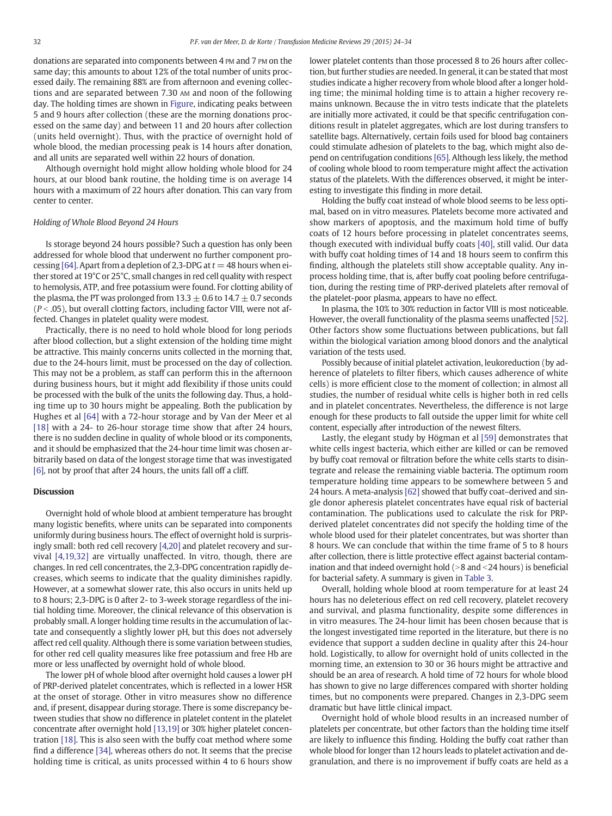donations are separated into components between 4 PM and 7 PM on the same day; this amounts to about 12% of the total number of units processed daily. The remaining 88% are from afternoon and evening collections and are separated between 7.30 AM and noon of the following day. The holding times are shown in [Figure,](#page-7-0) indicating peaks between 5 and 9 hours after collection (these are the morning donations processed on the same day) and between 11 and 20 hours after collection (units held overnight). Thus, with the practice of overnight hold of whole blood, the median processing peak is 14 hours after donation, and all units are separated well within 22 hours of donation.

Although overnight hold might allow holding whole blood for 24 hours, at our blood bank routine, the holding time is on average 14 hours with a maximum of 22 hours after donation. This can vary from center to center.

### Holding of Whole Blood Beyond 24 Hours

Is storage beyond 24 hours possible? Such a question has only been addressed for whole blood that underwent no further component pro-cessing [\[64\].](#page-10-0) Apart from a depletion of 2,3-DPG at  $t = 48$  hours when either stored at 19°C or 25°C, small changes in red cell quality with respect to hemolysis, ATP, and free potassium were found. For clotting ability of the plasma, the PT was prolonged from  $13.3 \pm 0.6$  to  $14.7 \pm 0.7$  seconds  $(P < .05)$ , but overall clotting factors, including factor VIII, were not affected. Changes in platelet quality were modest.

Practically, there is no need to hold whole blood for long periods after blood collection, but a slight extension of the holding time might be attractive. This mainly concerns units collected in the morning that, due to the 24-hours limit, must be processed on the day of collection. This may not be a problem, as staff can perform this in the afternoon during business hours, but it might add flexibility if those units could be processed with the bulk of the units the following day. Thus, a holding time up to 30 hours might be appealing. Both the publication by Hughes et al [\[64\]](#page-10-0) with a 72-hour storage and by Van der Meer et al [\[18\]](#page-9-0) with a 24- to 26-hour storage time show that after 24 hours, there is no sudden decline in quality of whole blood or its components, and it should be emphasized that the 24-hour time limit was chosen arbitrarily based on data of the longest storage time that was investigated [\[6\]](#page-9-0), not by proof that after 24 hours, the units fall off a cliff.

#### Discussion

Overnight hold of whole blood at ambient temperature has brought many logistic benefits, where units can be separated into components uniformly during business hours. The effect of overnight hold is surprisingly small: both red cell recovery [\[4,20\]](#page-9-0) and platelet recovery and survival [\[4,19,32\]](#page-9-0) are virtually unaffected. In vitro, though, there are changes. In red cell concentrates, the 2,3-DPG concentration rapidly decreases, which seems to indicate that the quality diminishes rapidly. However, at a somewhat slower rate, this also occurs in units held up to 8 hours; 2,3-DPG is 0 after 2- to 3-week storage regardless of the initial holding time. Moreover, the clinical relevance of this observation is probably small. A longer holding time results in the accumulation of lactate and consequently a slightly lower pH, but this does not adversely affect red cell quality. Although there is some variation between studies, for other red cell quality measures like free potassium and free Hb are more or less unaffected by overnight hold of whole blood.

The lower pH of whole blood after overnight hold causes a lower pH of PRP-derived platelet concentrates, which is reflected in a lower HSR at the onset of storage. Other in vitro measures show no difference and, if present, disappear during storage. There is some discrepancy between studies that show no difference in platelet content in the platelet concentrate after overnight hold [\[13,19\]](#page-9-0) or 30% higher platelet concentration [\[18\].](#page-9-0) This is also seen with the buffy coat method where some find a difference [\[34\]](#page-10-0), whereas others do not. It seems that the precise holding time is critical, as units processed within 4 to 6 hours show lower platelet contents than those processed 8 to 26 hours after collection, but further studies are needed. In general, it can be stated that most studies indicate a higher recovery from whole blood after a longer holding time; the minimal holding time is to attain a higher recovery remains unknown. Because the in vitro tests indicate that the platelets are initially more activated, it could be that specific centrifugation conditions result in platelet aggregates, which are lost during transfers to satellite bags. Alternatively, certain foils used for blood bag containers could stimulate adhesion of platelets to the bag, which might also depend on centrifugation conditions [\[65\]](#page-10-0). Although less likely, the method of cooling whole blood to room temperature might affect the activation status of the platelets. With the differences observed, it might be interesting to investigate this finding in more detail.

Holding the buffy coat instead of whole blood seems to be less optimal, based on in vitro measures. Platelets become more activated and show markers of apoptosis, and the maximum hold time of buffy coats of 12 hours before processing in platelet concentrates seems, though executed with individual buffy coats [\[40\]](#page-10-0), still valid. Our data with buffy coat holding times of 14 and 18 hours seem to confirm this finding, although the platelets still show acceptable quality. Any inprocess holding time, that is, after buffy coat pooling before centrifugation, during the resting time of PRP-derived platelets after removal of the platelet-poor plasma, appears to have no effect.

In plasma, the 10% to 30% reduction in factor VIII is most noticeable. However, the overall functionality of the plasma seems unaffected [\[52\].](#page-10-0) Other factors show some fluctuations between publications, but fall within the biological variation among blood donors and the analytical variation of the tests used.

Possibly because of initial platelet activation, leukoreduction (by adherence of platelets to filter fibers, which causes adherence of white cells) is more efficient close to the moment of collection; in almost all studies, the number of residual white cells is higher both in red cells and in platelet concentrates. Nevertheless, the difference is not large enough for these products to fall outside the upper limit for white cell content, especially after introduction of the newest filters.

Lastly, the elegant study by Högman et al [\[59\]](#page-10-0) demonstrates that white cells ingest bacteria, which either are killed or can be removed by buffy coat removal or filtration before the white cells starts to disintegrate and release the remaining viable bacteria. The optimum room temperature holding time appears to be somewhere between 5 and 24 hours. A meta-analysis [\[62\]](#page-10-0) showed that buffy coat–derived and single donor apheresis platelet concentrates have equal risk of bacterial contamination. The publications used to calculate the risk for PRPderived platelet concentrates did not specify the holding time of the whole blood used for their platelet concentrates, but was shorter than 8 hours. We can conclude that within the time frame of 5 to 8 hours after collection, there is little protective effect against bacterial contamination and that indeed overnight hold  $(>8$  and  $<$  24 hours) is beneficial for bacterial safety. A summary is given in [Table 3.](#page-9-0)

Overall, holding whole blood at room temperature for at least 24 hours has no deleterious effect on red cell recovery, platelet recovery and survival, and plasma functionality, despite some differences in in vitro measures. The 24-hour limit has been chosen because that is the longest investigated time reported in the literature, but there is no evidence that support a sudden decline in quality after this 24-hour hold. Logistically, to allow for overnight hold of units collected in the morning time, an extension to 30 or 36 hours might be attractive and should be an area of research. A hold time of 72 hours for whole blood has shown to give no large differences compared with shorter holding times, but no components were prepared. Changes in 2,3-DPG seem dramatic but have little clinical impact.

Overnight hold of whole blood results in an increased number of platelets per concentrate, but other factors than the holding time itself are likely to influence this finding. Holding the buffy coat rather than whole blood for longer than 12 hours leads to platelet activation and degranulation, and there is no improvement if buffy coats are held as a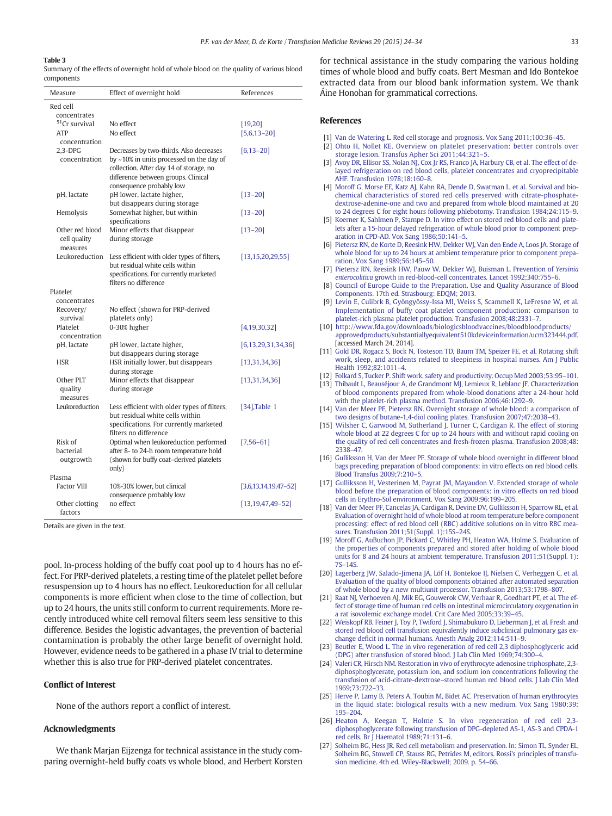# <span id="page-9-0"></span>Table 3

Summary of the effects of overnight hold of whole blood on the quality of various blood components

| Measure                                       | Effect of overnight hold                                                                                                                                                                                | References               |
|-----------------------------------------------|---------------------------------------------------------------------------------------------------------------------------------------------------------------------------------------------------------|--------------------------|
| Red cell<br>concentrates                      |                                                                                                                                                                                                         |                          |
| $^{51}$ Cr survival<br><b>ATP</b>             | No effect<br>No effect                                                                                                                                                                                  | [19,20]<br>$[5,6,13-20]$ |
| concentration<br>$2.3 - DPG$<br>concentration | Decreases by two-thirds. Also decreases<br>by $\sim$ 10% in units processed on the day of<br>collection. After day 14 of storage, no<br>difference between groups. Clinical<br>consequence probably low | $[6, 13 - 20]$           |
| pH, lactate                                   | pH lower, lactate higher,<br>but disappears during storage                                                                                                                                              | $[13 - 20]$              |
| Hemolysis                                     | Somewhat higher, but within<br>specifications                                                                                                                                                           | $[13 - 20]$              |
| Other red blood<br>cell quality<br>measures   | Minor effects that disappear<br>during storage                                                                                                                                                          | $[13 - 20]$              |
| Leukoreduction                                | Less efficient with older types of filters,<br>but residual white cells within<br>specifications. For currently marketed<br>filters no difference                                                       | [13, 15, 20, 29, 55]     |
| Platelet                                      |                                                                                                                                                                                                         |                          |
| concentrates<br>Recovery/                     | No effect (shown for PRP-derived                                                                                                                                                                        |                          |
| survival<br>Platelet<br>concentration         | platelets only)<br>0-30% higher                                                                                                                                                                         | [4, 19, 30, 32]          |
| pH, lactate                                   | pH lower, lactate higher,<br>but disappears during storage                                                                                                                                              | [6, 13, 29, 31, 34, 36]  |
| <b>HSR</b>                                    | HSR initially lower, but disappears<br>during storage                                                                                                                                                   | [13, 31, 34, 36]         |
| Other PLT<br>quality<br>measures              | Minor effects that disappear<br>during storage                                                                                                                                                          | [13, 31, 34, 36]         |
| Leukoreduction                                | Less efficient with older types of filters,<br>but residual white cells within<br>specifications. For currently marketed<br>filters no difference                                                       | $[34]$ , Table 1         |
| Risk of<br>bacterial<br>outgrowth             | Optimal when leukoreduction performed<br>after 8- to 24-h room temperature hold<br>(shown for buffy coat-derived platelets<br>only)                                                                     | $[7, 56 - 61]$           |
| Plasma<br><b>Factor VIII</b>                  | 10%-30% lower, but clinical                                                                                                                                                                             | $[3,6,13,14,19,47-52]$   |
|                                               | consequence probably low                                                                                                                                                                                |                          |
| Other clotting<br>factors                     | no effect                                                                                                                                                                                               | $[13, 19, 47, 49 - 52]$  |

Details are given in the text.

pool. In-process holding of the buffy coat pool up to 4 hours has no effect. For PRP-derived platelets, a resting time of the platelet pellet before resuspension up to 4 hours has no effect. Leukoreduction for all cellular components is more efficient when close to the time of collection, but up to 24 hours, the units still conform to current requirements. More recently introduced white cell removal filters seem less sensitive to this difference. Besides the logistic advantages, the prevention of bacterial contamination is probably the other large benefit of overnight hold. However, evidence needs to be gathered in a phase IV trial to determine whether this is also true for PRP-derived platelet concentrates.

#### Conflict of Interest

None of the authors report a conflict of interest.

### Acknowledgments

We thank Marjan Eijzenga for technical assistance in the study comparing overnight-held buffy coats vs whole blood, and Herbert Korsten for technical assistance in the study comparing the various holding times of whole blood and buffy coats. Bert Mesman and Ido Bontekoe extracted data from our blood bank information system. We thank Áine Honohan for grammatical corrections.

#### **References**

- [Van de Watering L. Red cell storage and prognosis. Vox Sang 2011;100:36](http://refhub.elsevier.com/S0887-7963(14)00089-3/rf0005)-45.
- [2] [Ohto H, Nollet KE. Overview on platelet preservation: better controls over](http://refhub.elsevier.com/S0887-7963(14)00089-3/rf0010) [storage lesion. Transfus Apher Sci 2011;44:321](http://refhub.elsevier.com/S0887-7963(14)00089-3/rf0010)–5.
- [Avoy DR, Ellisor SS, Nolan NJ, Cox Jr RS, Franco JA, Harbury CB, et al. The effect of de](http://refhub.elsevier.com/S0887-7963(14)00089-3/rf0015)[layed refrigeration on red blood cells, platelet concentrates and cryoprecipitable](http://refhub.elsevier.com/S0887-7963(14)00089-3/rf0015) [AHF. Transfusion 1978;18:160](http://refhub.elsevier.com/S0887-7963(14)00089-3/rf0015)–8.
- [4] [Moroff G, Morse EE, Katz AJ, Kahn RA, Dende D, Swatman L, et al. Survival and bio](http://refhub.elsevier.com/S0887-7963(14)00089-3/rf0020)[chemical characteristics of stored red cells preserved with citrate-phosphate](http://refhub.elsevier.com/S0887-7963(14)00089-3/rf0020)[dextrose-adenine-one and two and prepared from whole blood maintained at 20](http://refhub.elsevier.com/S0887-7963(14)00089-3/rf0020) [to 24 degrees C for eight hours following phlebotomy. Transfusion 1984;24:115](http://refhub.elsevier.com/S0887-7963(14)00089-3/rf0020)–9.
- [5] [Koerner K, Sahlmen P, Stampe D. In vitro effect on stored red blood cells and plate](http://refhub.elsevier.com/S0887-7963(14)00089-3/rf0025)[lets after a 15-hour delayed refrigeration of whole blood prior to component prep](http://refhub.elsevier.com/S0887-7963(14)00089-3/rf0025)[aration in CPD-AD. Vox Sang 1986;50:141](http://refhub.elsevier.com/S0887-7963(14)00089-3/rf0025)–5.
- [6] [Pietersz RN, de Korte D, Reesink HW, Dekker WJ, Van den Ende A, Loos JA. Storage of](http://refhub.elsevier.com/S0887-7963(14)00089-3/rf0030) [whole blood for up to 24 hours at ambient temperature prior to component prepa](http://refhub.elsevier.com/S0887-7963(14)00089-3/rf0030)[ration. Vox Sang 1989;56:145](http://refhub.elsevier.com/S0887-7963(14)00089-3/rf0030)–50.
- [7] [Pietersz RN, Reesink HW, Pauw W, Dekker WJ, Buisman L. Prevention of](http://refhub.elsevier.com/S0887-7963(14)00089-3/rf0035) Yersinia enterocolitica [growth in red-blood-cell concentrates. Lancet 1992;340:755](http://refhub.elsevier.com/S0887-7963(14)00089-3/rf0035)–6.
- [8] [Council of Europe Guide to the Preparation. Use and Quality Assurance of Blood](http://refhub.elsevier.com/S0887-7963(14)00089-3/rf0310) [Components. 17th ed. Strasbourg: EDQM; 2013.](http://refhub.elsevier.com/S0887-7963(14)00089-3/rf0310) [9] [Levin E, Culibrk B, Gyöngyössy-Issa MI, Weiss S, Scammell K, LeFresne W, et al.](http://refhub.elsevier.com/S0887-7963(14)00089-3/rf0040)
- [Implementation of buffy coat platelet component production: comparison to](http://refhub.elsevier.com/S0887-7963(14)00089-3/rf0040) [platelet-rich plasma platelet production. Transfusion 2008;48:2331](http://refhub.elsevier.com/S0887-7963(14)00089-3/rf0040)–7.
- [10] [http://www.fda.gov/downloads/biologicsbloodvaccines/bloodbloodproducts/](http://www.fda.gov/downloads/biologicsbloodvaccines/bloodbloodproducts/approvedproducts/substantiallyequivalent510kdeviceinformation/ucm323444.pdf) [approvedproducts/substantiallyequivalent510kdeviceinformation/ucm323444.pdf](http://www.fda.gov/downloads/biologicsbloodvaccines/bloodbloodproducts/approvedproducts/substantiallyequivalent510kdeviceinformation/ucm323444.pdf). [accessed March 24, 2014].
- [11] [Gold DR, Rogacz S, Bock N, Tosteson TD, Baum TM, Speizer FE, et al. Rotating shift](http://refhub.elsevier.com/S0887-7963(14)00089-3/rf0045) [work, sleep, and accidents related to sleepiness in hospital nurses. Am J Public](http://refhub.elsevier.com/S0887-7963(14)00089-3/rf0045) [Health 1992;82:1011](http://refhub.elsevier.com/S0887-7963(14)00089-3/rf0045)–4.
- [Folkard S, Tucker P. Shift work, safety and productivity. Occup Med 2003;53:95](http://refhub.elsevier.com/S0887-7963(14)00089-3/rf0050)-101.
- [13] [Thibault L, Beauséjour A, de Grandmont MJ, Lemieux R, Leblanc JF. Characterization](http://refhub.elsevier.com/S0887-7963(14)00089-3/rf0055) [of blood components prepared from whole-blood donations after a 24-hour hold](http://refhub.elsevier.com/S0887-7963(14)00089-3/rf0055) [with the platelet-rich plasma method. Transfusion 2006;46:1292](http://refhub.elsevier.com/S0887-7963(14)00089-3/rf0055)–9.
- [14] [Van der Meer PF, Pietersz RN. Overnight storage of whole blood: a comparison of](http://refhub.elsevier.com/S0887-7963(14)00089-3/rf0060) [two designs of butane-1,4-diol cooling plates. Transfusion 2007;47:2038](http://refhub.elsevier.com/S0887-7963(14)00089-3/rf0060)–43.
- [15] [Wilsher C, Garwood M, Sutherland J, Turner C, Cardigan R. The effect of storing](http://refhub.elsevier.com/S0887-7963(14)00089-3/rf0065) [whole blood at 22 degrees C for up to 24 hours with and without rapid cooling on](http://refhub.elsevier.com/S0887-7963(14)00089-3/rf0065) [the quality of red cell concentrates and fresh-frozen plasma. Transfusion 2008;48:](http://refhub.elsevier.com/S0887-7963(14)00089-3/rf0065) [2338](http://refhub.elsevier.com/S0887-7963(14)00089-3/rf0065)–47.
- [16] [Gulliksson H, Van der Meer PF. Storage of whole blood overnight in different blood](http://refhub.elsevier.com/S0887-7963(14)00089-3/rf0070) [bags preceding preparation of blood components: in vitro effects on red blood cells.](http://refhub.elsevier.com/S0887-7963(14)00089-3/rf0070) [Blood Transfus 2009;7:210](http://refhub.elsevier.com/S0887-7963(14)00089-3/rf0070)–5.
- [17] [Gulliksson H, Vesterinen M, Payrat JM, Mayaudon V. Extended storage of whole](http://refhub.elsevier.com/S0887-7963(14)00089-3/rf0075) [blood before the preparation of blood components: in vitro effects on red blood](http://refhub.elsevier.com/S0887-7963(14)00089-3/rf0075) [cells in Erythro-Sol environment. Vox Sang 2009;96:199](http://refhub.elsevier.com/S0887-7963(14)00089-3/rf0075)–205.
- [18] [Van der Meer PF, Cancelas JA, Cardigan R, Devine DV, Gulliksson H, Sparrow RL, et al.](http://refhub.elsevier.com/S0887-7963(14)00089-3/rf0080) [Evaluation of overnight hold of whole blood at room temperature before component](http://refhub.elsevier.com/S0887-7963(14)00089-3/rf0080) [processing: effect of red blood cell \(RBC\) additive solutions on in vitro RBC mea](http://refhub.elsevier.com/S0887-7963(14)00089-3/rf0080)[sures. Transfusion 2011;51\(Suppl. 1\):15S](http://refhub.elsevier.com/S0887-7963(14)00089-3/rf0080)–24S.
- [19] [Moroff G, AuBuchon JP, Pickard C, Whitley PH, Heaton WA, Holme S. Evaluation of](http://refhub.elsevier.com/S0887-7963(14)00089-3/rf0085) [the properties of components prepared and stored after holding of whole blood](http://refhub.elsevier.com/S0887-7963(14)00089-3/rf0085) [units for 8 and 24 hours at ambient temperature. Transfusion 2011;51\(Suppl. 1\):](http://refhub.elsevier.com/S0887-7963(14)00089-3/rf0085) 7S–[14S.](http://refhub.elsevier.com/S0887-7963(14)00089-3/rf0085)
- [20] [Lagerberg JW, Salado-Jimena JA, Löf H, Bontekoe IJ, Nielsen C, Verheggen C, et al.](http://refhub.elsevier.com/S0887-7963(14)00089-3/rf0090) [Evaluation of the quality of blood components obtained after automated separation](http://refhub.elsevier.com/S0887-7963(14)00089-3/rf0090) [of whole blood by a new multiunit processor. Transfusion 2013;53:1798](http://refhub.elsevier.com/S0887-7963(14)00089-3/rf0090)–807.
- [21] [Raat NJ, Verhoeven AJ, Mik EG, Gouwerok CW, Verhaar R, Goedhart PT, et al. The ef](http://refhub.elsevier.com/S0887-7963(14)00089-3/rf0095)[fect of storage time of human red cells on intestinal microcirculatory oxygenation in](http://refhub.elsevier.com/S0887-7963(14)00089-3/rf0095) [a rat isovolemic exchange model. Crit Care Med 2005;33:39](http://refhub.elsevier.com/S0887-7963(14)00089-3/rf0095)–45.
- [22] [Weiskopf RB, Feiner J, Toy P, Twiford J, Shimabukuro D, Lieberman J, et al. Fresh and](http://refhub.elsevier.com/S0887-7963(14)00089-3/rf0100) [stored red blood cell transfusion equivalently induce subclinical pulmonary gas ex](http://refhub.elsevier.com/S0887-7963(14)00089-3/rf0100)change defi[cit in normal humans. Anesth Analg 2012;114:511](http://refhub.elsevier.com/S0887-7963(14)00089-3/rf0100)–9.
- [23] [Beutler E, Wood L. The in vivo regeneration of red cell 2,3 diphosphoglyceric acid](http://refhub.elsevier.com/S0887-7963(14)00089-3/rf0105) [\(DPG\) after transfusion of stored blood. J Lab Clin Med 1969;74:300](http://refhub.elsevier.com/S0887-7963(14)00089-3/rf0105)–4.
- [24] [Valeri CR, Hirsch NM. Restoration in vivo of erythrocyte adenosine triphosphate, 2,3](http://refhub.elsevier.com/S0887-7963(14)00089-3/rf0110) [diphosphoglycerate, potassium ion, and sodium ion concentrations following the](http://refhub.elsevier.com/S0887-7963(14)00089-3/rf0110) transfusion of acid-citrate-dextrose–[stored human red blood cells. J Lab Clin Med](http://refhub.elsevier.com/S0887-7963(14)00089-3/rf0110) [1969;73:722](http://refhub.elsevier.com/S0887-7963(14)00089-3/rf0110)–33.
- [25] [Herve P, Lamy B, Peters A, Toubin M, Bidet AC. Preservation of human erythrocytes](http://refhub.elsevier.com/S0887-7963(14)00089-3/rf0115) [in the liquid state: biological results with a new medium. Vox Sang 1980;39:](http://refhub.elsevier.com/S0887-7963(14)00089-3/rf0115) 195–[204.](http://refhub.elsevier.com/S0887-7963(14)00089-3/rf0115)
- [26] [Heaton A, Keegan T, Holme S. In vivo regeneration of red cell 2,3](http://refhub.elsevier.com/S0887-7963(14)00089-3/rf0120) [diphosphoglycerate following transfusion of DPG-depleted AS-1, AS-3 and CPDA-1](http://refhub.elsevier.com/S0887-7963(14)00089-3/rf0120) [red cells. Br J Haematol 1989;71:131](http://refhub.elsevier.com/S0887-7963(14)00089-3/rf0120)–6.
- [27] [Solheim BG, Hess JR. Red cell metabolism and preservation. In: Simon TL, Synder EL,](http://refhub.elsevier.com/S0887-7963(14)00089-3/rf0320) [Solheim BG, Stowell CP, Stauss RG, Petrides M, editors. Rossi's principles of transfu](http://refhub.elsevier.com/S0887-7963(14)00089-3/rf0320)[sion medicine. 4th ed. Wiley-Blackwell; 2009. p. 54](http://refhub.elsevier.com/S0887-7963(14)00089-3/rf0320)–66.